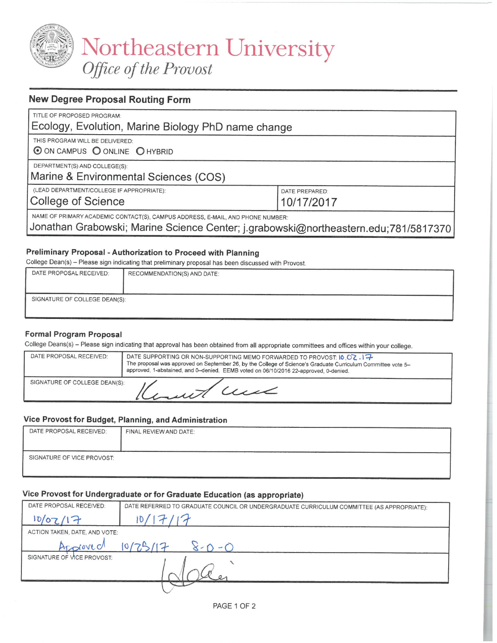

## **New Degree Proposal Routing Form**

| TITLE OF PROPOSED PROGRAM:                                                          |                |  |
|-------------------------------------------------------------------------------------|----------------|--|
| Ecology, Evolution, Marine Biology PhD name change                                  |                |  |
| THIS PROGRAM WILL BE DELIVERED:                                                     |                |  |
| O ON CAMPUS O ONLINE O HYBRID                                                       |                |  |
| DEPARTMENT(S) AND COLLEGE(S):                                                       |                |  |
| Marine & Environmental Sciences (COS)                                               |                |  |
| (LEAD DEPARTMENT/COLLEGE IF APPROPRIATE):                                           | DATE PREPARED: |  |
| <b>College of Science</b>                                                           | 10/17/2017     |  |
| NAME OF PRIMARY ACADEMIC CONTACT(S), CAMPUS ADDRESS, E-MAIL, AND PHONE NUMBER:      |                |  |
| Jonathan Grabowski; Marine Science Center; j.grabowski@northeastern.edu;781/5817370 |                |  |

#### Preliminary Proposal - Authorization to Proceed with Planning

College Dean(s) - Please sign indicating that preliminary proposal has been discussed with Provost.

| DATE PROPOSAL RECEIVED:       | RECOMMENDATION(S) AND DATE: |  |
|-------------------------------|-----------------------------|--|
|                               |                             |  |
|                               |                             |  |
| SIGNATURE OF COLLEGE DEAN(S): |                             |  |
|                               |                             |  |
|                               |                             |  |

#### **Formal Program Proposal**

College Deans(s) - Please sign indicating that approval has been obtained from all appropriate committees and offices within your college.

| DATE PROPOSAL RECEIVED:                  | DATE SUPPORTING OR NON-SUPPORTING MEMO FORWARDED TO PROVOST 10 0 2 . 1 $7$<br>The proposal was approved on September 26, by the College of Science's Graduate Curriculum Committee vote 5-<br>approved, 1-abstained, and 0-denied. EEMB voted on 06/10/2016 22-approved, 0-denied. |
|------------------------------------------|------------------------------------------------------------------------------------------------------------------------------------------------------------------------------------------------------------------------------------------------------------------------------------|
| SIGNATURE OF COLLEGE DEAN(S):<br>with we |                                                                                                                                                                                                                                                                                    |

## Vice Provost for Budget, Planning, and Administration

| DATE PROPOSAL RECEIVED:    | FINAL REVIEW AND DATE: |
|----------------------------|------------------------|
| SIGNATURE OF VICE PROVOST: |                        |

#### Vice Provost for Undergraduate or for Graduate Education (as appropriate)

| DATE PROPOSAL RECEIVED:       | DATE REFERRED TO GRADUATE COUNCIL OR UNDERGRADUATE CURRICULUM COMMITTEE (AS APPROPRIATE): |
|-------------------------------|-------------------------------------------------------------------------------------------|
| 10/07/17                      | $\overline{O}$                                                                            |
| ACTION TAKEN, DATE, AND VOTE: |                                                                                           |
| Arploved                      | $8 - 0 - 0$<br>10/75/17                                                                   |
| SIGNATURE OF VICE PROVOST:    |                                                                                           |
|                               |                                                                                           |
|                               |                                                                                           |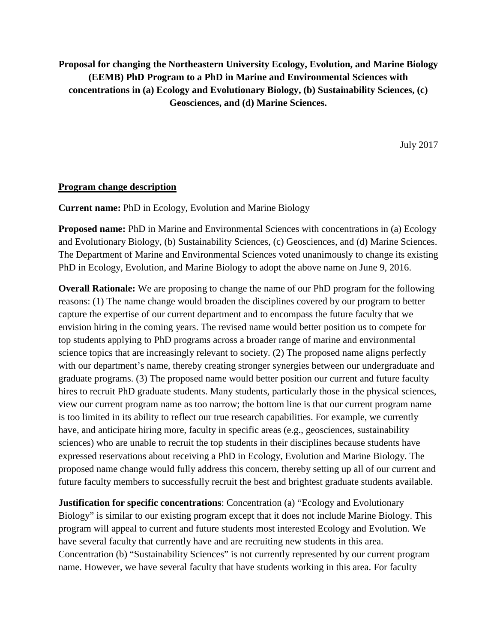**Proposal for changing the Northeastern University Ecology, Evolution, and Marine Biology (EEMB) PhD Program to a PhD in Marine and Environmental Sciences with concentrations in (a) Ecology and Evolutionary Biology, (b) Sustainability Sciences, (c) Geosciences, and (d) Marine Sciences.**

July 2017

### **Program change description**

**Current name:** PhD in Ecology, Evolution and Marine Biology

**Proposed name:** PhD in Marine and Environmental Sciences with concentrations in (a) Ecology and Evolutionary Biology, (b) Sustainability Sciences, (c) Geosciences, and (d) Marine Sciences. The Department of Marine and Environmental Sciences voted unanimously to change its existing PhD in Ecology, Evolution, and Marine Biology to adopt the above name on June 9, 2016.

**Overall Rationale:** We are proposing to change the name of our PhD program for the following reasons: (1) The name change would broaden the disciplines covered by our program to better capture the expertise of our current department and to encompass the future faculty that we envision hiring in the coming years. The revised name would better position us to compete for top students applying to PhD programs across a broader range of marine and environmental science topics that are increasingly relevant to society. (2) The proposed name aligns perfectly with our department's name, thereby creating stronger synergies between our undergraduate and graduate programs. (3) The proposed name would better position our current and future faculty hires to recruit PhD graduate students. Many students, particularly those in the physical sciences, view our current program name as too narrow; the bottom line is that our current program name is too limited in its ability to reflect our true research capabilities. For example, we currently have, and anticipate hiring more, faculty in specific areas (e.g., geosciences, sustainability sciences) who are unable to recruit the top students in their disciplines because students have expressed reservations about receiving a PhD in Ecology, Evolution and Marine Biology. The proposed name change would fully address this concern, thereby setting up all of our current and future faculty members to successfully recruit the best and brightest graduate students available.

**Justification for specific concentrations**: Concentration (a) "Ecology and Evolutionary Biology" is similar to our existing program except that it does not include Marine Biology. This program will appeal to current and future students most interested Ecology and Evolution. We have several faculty that currently have and are recruiting new students in this area. Concentration (b) "Sustainability Sciences" is not currently represented by our current program name. However, we have several faculty that have students working in this area. For faculty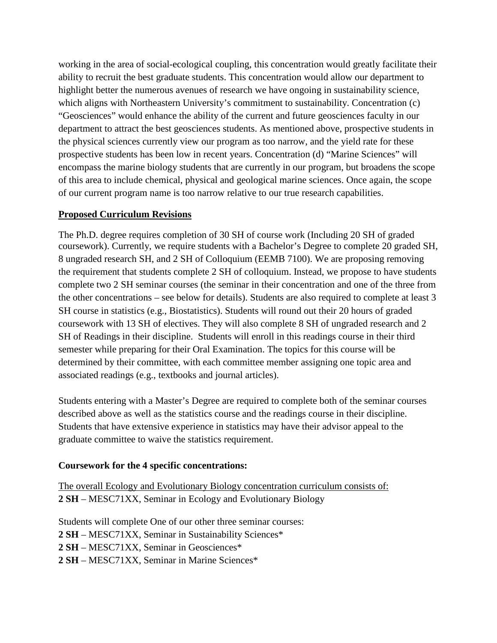working in the area of social-ecological coupling, this concentration would greatly facilitate their ability to recruit the best graduate students. This concentration would allow our department to highlight better the numerous avenues of research we have ongoing in sustainability science, which aligns with Northeastern University's commitment to sustainability. Concentration (c) "Geosciences" would enhance the ability of the current and future geosciences faculty in our department to attract the best geosciences students. As mentioned above, prospective students in the physical sciences currently view our program as too narrow, and the yield rate for these prospective students has been low in recent years. Concentration (d) "Marine Sciences" will encompass the marine biology students that are currently in our program, but broadens the scope of this area to include chemical, physical and geological marine sciences. Once again, the scope of our current program name is too narrow relative to our true research capabilities.

## **Proposed Curriculum Revisions**

The Ph.D. degree requires completion of 30 SH of course work (Including 20 SH of graded coursework). Currently, we require students with a Bachelor's Degree to complete 20 graded SH, 8 ungraded research SH, and 2 SH of Colloquium (EEMB 7100). We are proposing removing the requirement that students complete 2 SH of colloquium. Instead, we propose to have students complete two 2 SH seminar courses (the seminar in their concentration and one of the three from the other concentrations – see below for details). Students are also required to complete at least 3 SH course in statistics (e.g., Biostatistics). Students will round out their 20 hours of graded coursework with 13 SH of electives. They will also complete 8 SH of ungraded research and 2 SH of Readings in their discipline. Students will enroll in this readings course in their third semester while preparing for their Oral Examination. The topics for this course will be determined by their committee, with each committee member assigning one topic area and associated readings (e.g., textbooks and journal articles).

Students entering with a Master's Degree are required to complete both of the seminar courses described above as well as the statistics course and the readings course in their discipline. Students that have extensive experience in statistics may have their advisor appeal to the graduate committee to waive the statistics requirement.

## **Coursework for the 4 specific concentrations:**

The overall Ecology and Evolutionary Biology concentration curriculum consists of: **2 SH** – MESC71XX, Seminar in Ecology and Evolutionary Biology

Students will complete One of our other three seminar courses: **2 SH** – MESC71XX, Seminar in Sustainability Sciences\* **2 SH** – MESC71XX, Seminar in Geosciences\* **2 SH** – MESC71XX, Seminar in Marine Sciences\*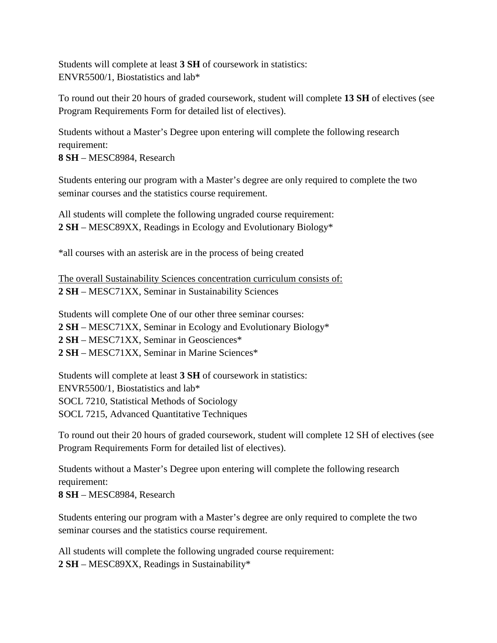Students will complete at least **3 SH** of coursework in statistics: ENVR5500/1, Biostatistics and lab\*

To round out their 20 hours of graded coursework, student will complete **13 SH** of electives (see Program Requirements Form for detailed list of electives).

Students without a Master's Degree upon entering will complete the following research requirement: **8 SH** – MESC8984, Research

Students entering our program with a Master's degree are only required to complete the two seminar courses and the statistics course requirement.

All students will complete the following ungraded course requirement: **2 SH** – MESC89XX, Readings in Ecology and Evolutionary Biology\*

\*all courses with an asterisk are in the process of being created

The overall Sustainability Sciences concentration curriculum consists of: **2 SH** – MESC71XX, Seminar in Sustainability Sciences

Students will complete One of our other three seminar courses: **2 SH** – MESC71XX, Seminar in Ecology and Evolutionary Biology\* **2 SH** – MESC71XX, Seminar in Geosciences\* **2 SH** – MESC71XX, Seminar in Marine Sciences\*

Students will complete at least **3 SH** of coursework in statistics: ENVR5500/1, Biostatistics and lab\* SOCL 7210, Statistical Methods of Sociology SOCL 7215, Advanced Quantitative Techniques

To round out their 20 hours of graded coursework, student will complete 12 SH of electives (see Program Requirements Form for detailed list of electives).

Students without a Master's Degree upon entering will complete the following research requirement:

**8 SH** – MESC8984, Research

Students entering our program with a Master's degree are only required to complete the two seminar courses and the statistics course requirement.

All students will complete the following ungraded course requirement: **2 SH** – MESC89XX, Readings in Sustainability\*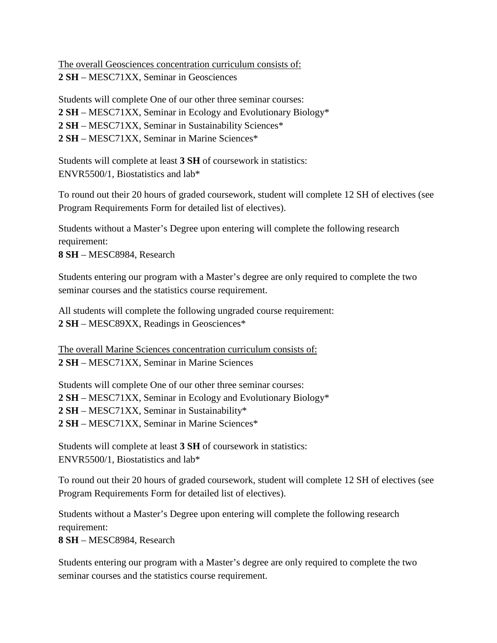The overall Geosciences concentration curriculum consists of: **2 SH** – MESC71XX, Seminar in Geosciences

Students will complete One of our other three seminar courses:

**2 SH** – MESC71XX, Seminar in Ecology and Evolutionary Biology\*

- **2 SH** MESC71XX, Seminar in Sustainability Sciences\*
- **2 SH** MESC71XX, Seminar in Marine Sciences\*

Students will complete at least **3 SH** of coursework in statistics: ENVR5500/1, Biostatistics and lab\*

To round out their 20 hours of graded coursework, student will complete 12 SH of electives (see Program Requirements Form for detailed list of electives).

Students without a Master's Degree upon entering will complete the following research requirement:

**8 SH** – MESC8984, Research

Students entering our program with a Master's degree are only required to complete the two seminar courses and the statistics course requirement.

All students will complete the following ungraded course requirement: **2 SH** – MESC89XX, Readings in Geosciences\*

The overall Marine Sciences concentration curriculum consists of: **2 SH** – MESC71XX, Seminar in Marine Sciences

Students will complete One of our other three seminar courses: **2 SH** – MESC71XX, Seminar in Ecology and Evolutionary Biology\* **2 SH** – MESC71XX, Seminar in Sustainability\* **2 SH** – MESC71XX, Seminar in Marine Sciences\*

Students will complete at least **3 SH** of coursework in statistics: ENVR5500/1, Biostatistics and lab\*

To round out their 20 hours of graded coursework, student will complete 12 SH of electives (see Program Requirements Form for detailed list of electives).

Students without a Master's Degree upon entering will complete the following research requirement:

**8 SH** – MESC8984, Research

Students entering our program with a Master's degree are only required to complete the two seminar courses and the statistics course requirement.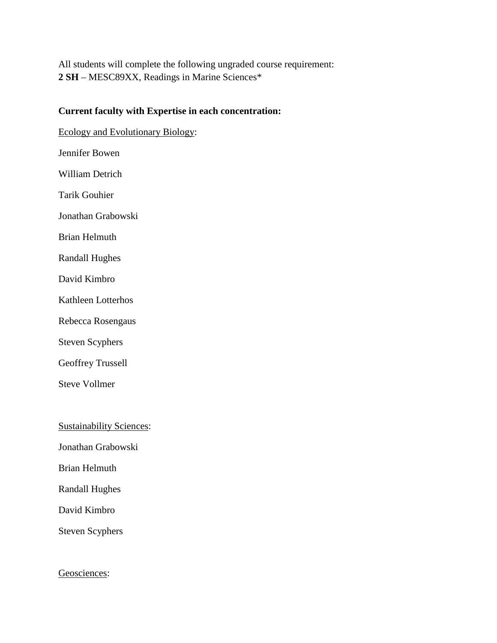All students will complete the following ungraded course requirement: **2 SH** – MESC89XX, Readings in Marine Sciences\*

# **Current faculty with Expertise in each concentration:** Ecology and Evolutionary Biology: Jennifer Bowen William Detrich Tarik Gouhier Jonathan Grabowski Brian Helmuth Randall Hughes David Kimbro Kathleen Lotterhos Rebecca Rosengaus Steven Scyphers Geoffrey Trussell Steve Vollmer Sustainability Sciences: Jonathan Grabowski Brian Helmuth Randall Hughes David Kimbro

Steven Scyphers

Geosciences: